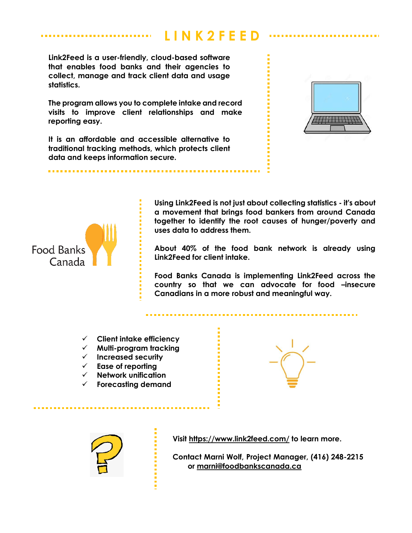# **L I N K 2 F E E D**

**Link2Feed is a user-friendly, cloud-based software that enables food banks and their agencies to collect, manage and track client data and usage statistics.**

**The program allows you to complete intake and record visits to improve client relationships and make reporting easy.**

**It is an affordable and accessible alternative to traditional tracking methods, which protects client data and keeps information secure.**





**Using Link2Feed is not just about collecting statistics - it's about a movement that brings food bankers from around Canada together to identify the root causes of hunger/poverty and uses data to address them.**

. . . . . . . . .

**About 40% of the food bank network is already using Link2Feed for client intake.**

**Food Banks Canada is implementing Link2Feed across the country so that we can advocate for food –insecure Canadians in a more robust and meaningful way.** 

- **Client intake efficiency**
- **Multi-program tracking**
- **Increased security**
- **Ease of reporting**
- **Network unification**
- **Forecasting demand**





**Visit<https://www.link2feed.com/> to learn more.**

**Contact Marni Wolf, Project Manager, (416) 248-2215 or [marni@foodbankscanada.ca](mailto:marni@foodbankscanada.ca)**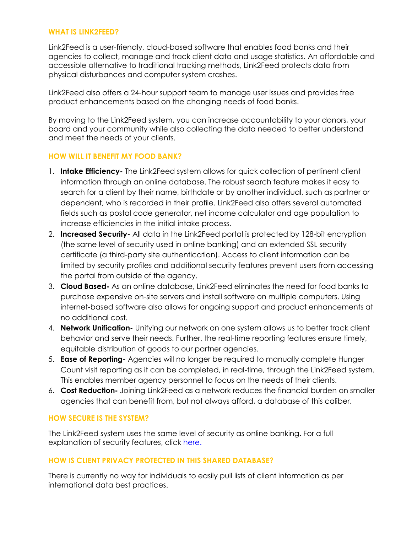#### **WHAT IS LINK2FEED?**

Link2Feed is a user-friendly, cloud-based software that enables food banks and their agencies to collect, manage and track client data and usage statistics. An affordable and accessible alternative to traditional tracking methods, Link2Feed protects data from physical disturbances and computer system crashes.

Link2Feed also offers a 24-hour support team to manage user issues and provides free product enhancements based on the changing needs of food banks.

By moving to the Link2Feed system, you can increase accountability to your donors, your board and your community while also collecting the data needed to better understand and meet the needs of your clients.

# **HOW WILL IT BENEFIT MY FOOD BANK?**

- 1. **Intake Efficiency-** The Link2Feed system allows for quick collection of pertinent client information through an online database. The robust search feature makes it easy to search for a client by their name, birthdate or by another individual, such as partner or dependent, who is recorded in their profile. Link2Feed also offers several automated fields such as postal code generator, net income calculator and age population to increase efficiencies in the initial intake process.
- 2. **Increased Security-** All data in the Link2Feed portal is protected by 128-bit encryption (the same level of security used in online banking) and an extended SSL security certificate (a third-party site authentication). Access to client information can be limited by security profiles and additional security features prevent users from accessing the portal from outside of the agency.
- 3. **Cloud Based-** As an online database, Link2Feed eliminates the need for food banks to purchase expensive on-site servers and install software on multiple computers. Using internet-based software also allows for ongoing support and product enhancements at no additional cost.
- 4. **Network Unification-** Unifying our network on one system allows us to better track client behavior and serve their needs. Further, the real-time reporting features ensure timely, equitable distribution of goods to our partner agencies.
- 5. **Ease of Reporting-** Agencies will no longer be required to manually complete Hunger Count visit reporting as it can be completed, in real-time, through the Link2Feed system. This enables member agency personnel to focus on the needs of their clients.
- 6. **Cost Reduction-** Joining Link2Feed as a network reduces the financial burden on smaller agencies that can benefit from, but not always afford, a database of this caliber.

## **HOW SECURE IS THE SYSTEM?**

The Link2Feed system uses the same level of security as online banking. For a full explanation of security features, click [here.](http://www.link2feed.com/security-features)

# **HOW IS CLIENT PRIVACY PROTECTED IN THIS SHARED DATABASE?**

There is currently no way for individuals to easily pull lists of client information as per international data best practices.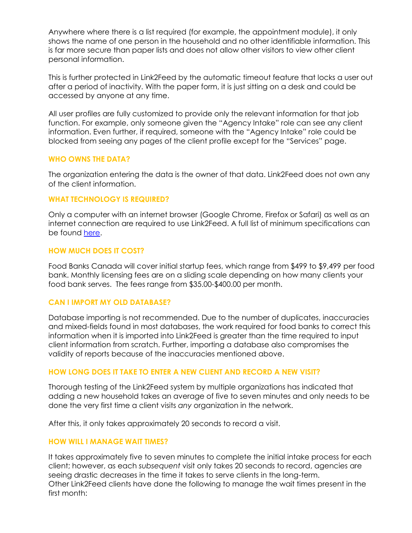Anywhere where there is a list required (for example, the appointment module), it only shows the name of one person in the household and no other identifiable information. This is far more secure than paper lists and does not allow other visitors to view other client personal information.

This is further protected in Link2Feed by the automatic timeout feature that locks a user out after a period of inactivity. With the paper form, it is just sitting on a desk and could be accessed by anyone at any time.

All user profiles are fully customized to provide only the relevant information for that job function. For example, only someone given the "Agency Intake" role can see any client information. Even further, if required, someone with the "Agency Intake" role could be blocked from seeing any pages of the client profile except for the "Services" page.

## **WHO OWNS THE DATA?**

The organization entering the data is the owner of that data. Link2Feed does not own any of the client information.

### **WHAT TECHNOLOGY IS REQUIRED?**

Only a computer with an internet browser (Google Chrome, Firefox or Safari) as well as an internet connection are required to use Link2Feed. A full list of minimum specifications can be found [here.](https://link2feed.atlassian.net/wiki/spaces/UserManual/pages/95969361/Minimum+Hardware+Software+Requirements)

### **HOW MUCH DOES IT COST?**

Food Banks Canada will cover initial startup fees, which range from \$499 to \$9,499 per food bank. Monthly licensing fees are on a sliding scale depending on how many clients your food bank serves. The fees range from \$35.00-\$400.00 per month.

#### **CAN I IMPORT MY OLD DATABASE?**

Database importing is not recommended. Due to the number of duplicates, inaccuracies and mixed-fields found in most databases, the work required for food banks to correct this information when it is imported into Link2Feed is greater than the time required to input client information from scratch. Further, importing a database also compromises the validity of reports because of the inaccuracies mentioned above.

#### **HOW LONG DOES IT TAKE TO ENTER A NEW CLIENT AND RECORD A NEW VISIT?**

Thorough testing of the Link2Feed system by multiple organizations has indicated that adding a new household takes an average of five to seven minutes and only needs to be done the very first time a client visits *any* organization in the network.

After this, it only takes approximately 20 seconds to record a visit.

#### **HOW WILL I MANAGE WAIT TIMES?**

It takes approximately five to seven minutes to complete the initial intake process for each client; however, as each *subsequent* visit only takes 20 seconds to record, agencies are seeing drastic decreases in the time it takes to serve clients in the long-term. Other Link2Feed clients have done the following to manage the wait times present in the first month: